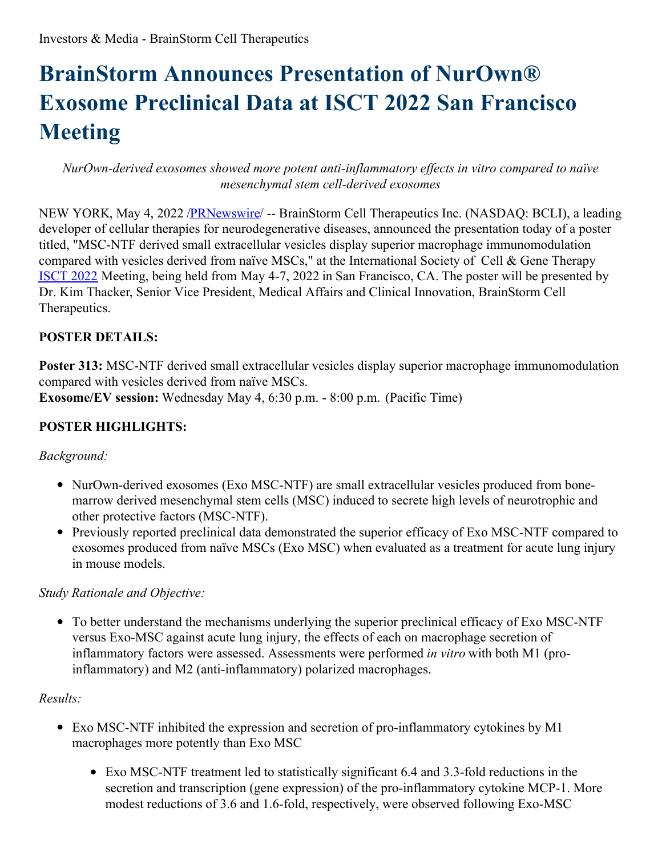# **BrainStorm Announces Presentation of NurOwn® Exosome Preclinical Data at ISCT 2022 San Francisco Meeting**

*NurOwn-derived exosomes showed more potent anti-inflammatory ef ects in vitro compared to naïve mesenchymal stem cell-derived exosomes*

NEW YORK, May 4, 2022 [/PRNewswire](http://www.prnewswire.com/)/ -- BrainStorm Cell Therapeutics Inc. (NASDAQ: BCLI), a leading developer of cellular therapies for neurodegenerative diseases, announced the presentation today of a poster titled, "MSC-NTF derived small extracellular vesicles display superior macrophage immunomodulation compared with vesicles derived from naïve MSCs," at the International Society of Cell & Gene Therapy [ISCT](https://www.isctglobal.org/isct2022/home) 2022 Meeting, being held from May 4-7, 2022 in San Francisco, CA. The poster will be presented by Dr. Kim Thacker, Senior Vice President, Medical Affairs and Clinical Innovation, BrainStorm Cell Therapeutics.

#### **POSTER DETAILS:**

**Poster 313:** MSC-NTF derived small extracellular vesicles display superior macrophage immunomodulation compared with vesicles derived from naïve MSCs.

**Exosome/EV session:** Wednesday May 4, 6:30 p.m. - 8:00 p.m. (Pacific Time)

## **POSTER HIGHLIGHTS:**

#### *Background:*

- NurOwn-derived exosomes (Exo MSC-NTF) are small extracellular vesicles produced from bonemarrow derived mesenchymal stem cells (MSC) induced to secrete high levels of neurotrophic and other protective factors (MSC-NTF).
- Previously reported preclinical data demonstrated the superior efficacy of Exo MSC-NTF compared to exosomes produced from naïve MSCs (Exo MSC) when evaluated as a treatment for acute lung injury in mouse models.

## *Study Rationale and Objective:*

To better understand the mechanisms underlying the superior preclinical efficacy of Exo MSC-NTF versus Exo-MSC against acute lung injury, the effects of each on macrophage secretion of inflammatory factors were assessed. Assessments were performed *in vitro* with both M1 (proinflammatory) and M2 (anti-inflammatory) polarized macrophages.

#### *Results:*

- Exo MSC-NTF inhibited the expression and secretion of pro-inflammatory cytokines by M1 macrophages more potently than Exo MSC
	- Exo MSC-NTF treatment led to statistically significant 6.4 and 3.3-fold reductions in the secretion and transcription (gene expression) of the pro-inflammatory cytokine MCP-1. More modest reductions of 3.6 and 1.6-fold, respectively, were observed following Exo-MSC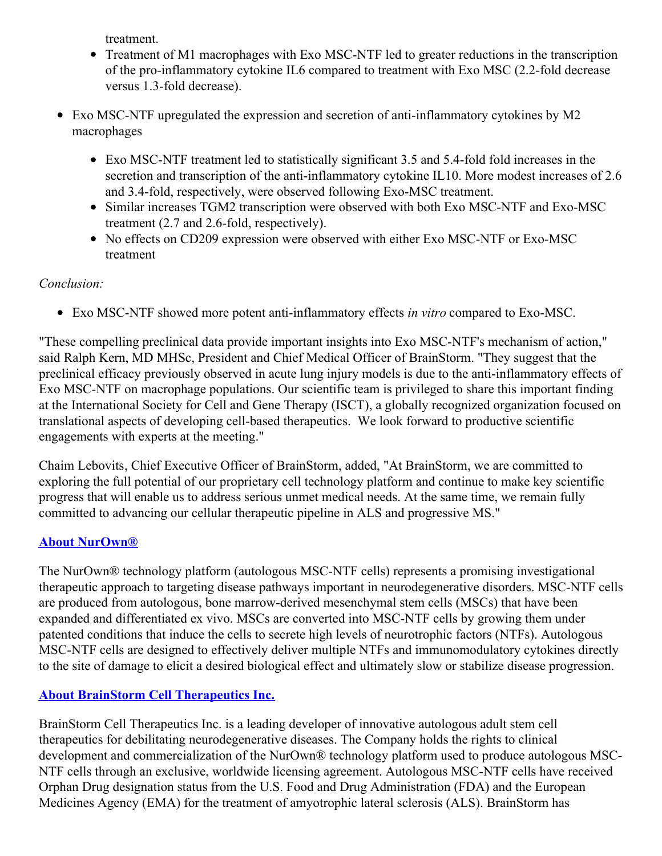treatment.

- Treatment of M1 macrophages with Exo MSC-NTF led to greater reductions in the transcription of the pro-inflammatory cytokine IL6 compared to treatment with Exo MSC (2.2-fold decrease versus 1.3-fold decrease).
- Exo MSC-NTF upregulated the expression and secretion of anti-inflammatory cytokines by M2 macrophages
	- Exo MSC-NTF treatment led to statistically significant 3.5 and 5.4-fold fold increases in the secretion and transcription of the anti-inflammatory cytokine IL10. More modest increases of 2.6 and 3.4-fold, respectively, were observed following Exo-MSC treatment.
	- Similar increases TGM2 transcription were observed with both Exo MSC-NTF and Exo-MSC treatment (2.7 and 2.6-fold, respectively).
	- No effects on CD209 expression were observed with either Exo MSC-NTF or Exo-MSC treatment

## *Conclusion:*

Exo MSC-NTF showed more potent anti-inflammatory effects *in vitro* compared to Exo-MSC.

"These compelling preclinical data provide important insights into Exo MSC-NTF's mechanism of action," said Ralph Kern, MD MHSc, President and Chief Medical Officer of BrainStorm. "They suggest that the preclinical efficacy previously observed in acute lung injury models is due to the anti-inflammatory effects of Exo MSC-NTF on macrophage populations. Our scientific team is privileged to share this important finding at the International Society for Cell and Gene Therapy (ISCT), a globally recognized organization focused on translational aspects of developing cell-based therapeutics. We look forward to productive scientific engagements with experts at the meeting."

Chaim Lebovits, Chief Executive Officer of BrainStorm, added, "At BrainStorm, we are committed to exploring the full potential of our proprietary cell technology platform and continue to make key scientific progress that will enable us to address serious unmet medical needs. At the same time, we remain fully committed to advancing our cellular therapeutic pipeline in ALS and progressive MS."

# **About [NurOwn®](https://www.globenewswire.com/Tracker?data=mxQGlvuf3Du-xUe30P6TXChcgiEuiS8RdUwi055ZCyPx-jyrlNlbdRE1xJ0HyZERfaGvjqrg-G6nsckSiSS9UogSz0yUyd80OchxJCi0AWnFOwGxe3pHbuQ5eblr3WRY)**

The NurOwn® technology platform (autologous MSC-NTF cells) represents a promising investigational therapeutic approach to targeting disease pathways important in neurodegenerative disorders. MSC-NTF cells are produced from autologous, bone marrow-derived mesenchymal stem cells (MSCs) that have been expanded and differentiated ex vivo. MSCs are converted into MSC-NTF cells by growing them under patented conditions that induce the cells to secrete high levels of neurotrophic factors (NTFs). Autologous MSC-NTF cells are designed to effectively deliver multiple NTFs and immunomodulatory cytokines directly to the site of damage to elicit a desired biological effect and ultimately slow or stabilize disease progression.

# **About BrainStorm Cell [Therapeutics](https://www.globenewswire.com/Tracker?data=tR4Vstp5CXVKiiCNx5C7ZleTnBqt8VjpIMr1M-tRuqno9Mt3jaCU9KakTaWFBcNT0e6aQ87GsLlrxWNofueqOr7QxoJl2NNlaeXxtsvmgharp6fSLzU39cSGvLMLq_VE) Inc.**

BrainStorm Cell Therapeutics Inc. is a leading developer of innovative autologous adult stem cell therapeutics for debilitating neurodegenerative diseases. The Company holds the rights to clinical development and commercialization of the NurOwn® technology platform used to produce autologous MSC-NTF cells through an exclusive, worldwide licensing agreement. Autologous MSC-NTF cells have received Orphan Drug designation status from the U.S. Food and Drug Administration (FDA) and the European Medicines Agency (EMA) for the treatment of amyotrophic lateral sclerosis (ALS). BrainStorm has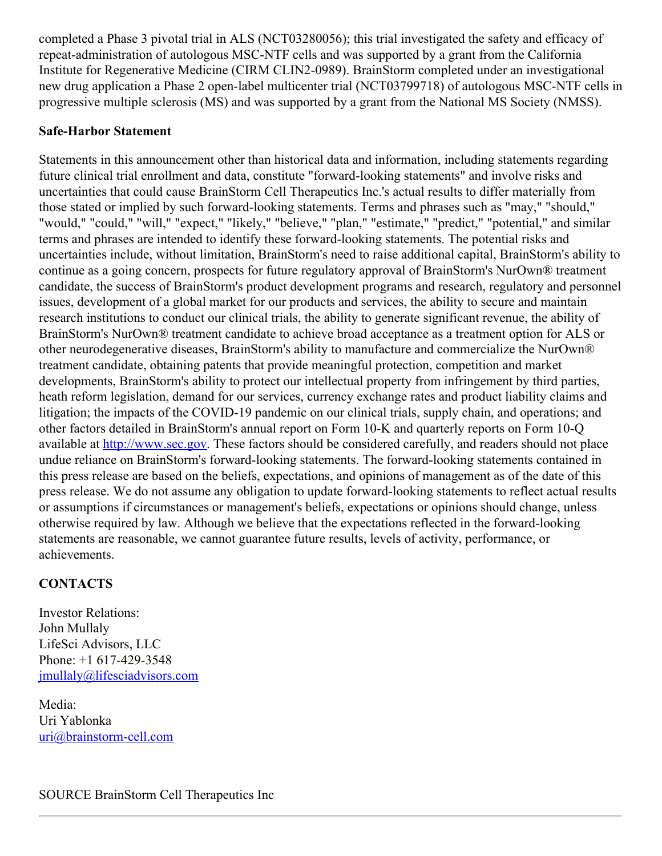completed a Phase 3 pivotal trial in ALS (NCT03280056); this trial investigated the safety and efficacy of repeat-administration of autologous MSC-NTF cells and was supported by a grant from the California Institute for Regenerative Medicine (CIRM CLIN2-0989). BrainStorm completed under an investigational new drug application a Phase 2 open-label multicenter trial (NCT03799718) of autologous MSC-NTF cells in progressive multiple sclerosis (MS) and was supported by a grant from the National MS Society (NMSS).

#### **Safe-Harbor Statement**

Statements in this announcement other than historical data and information, including statements regarding future clinical trial enrollment and data, constitute "forward-looking statements" and involve risks and uncertainties that could cause BrainStorm Cell Therapeutics Inc.'s actual results to differ materially from those stated or implied by such forward-looking statements. Terms and phrases such as "may," "should," "would," "could," "will," "expect," "likely," "believe," "plan," "estimate," "predict," "potential," and similar terms and phrases are intended to identify these forward-looking statements. The potential risks and uncertainties include, without limitation, BrainStorm's need to raise additional capital, BrainStorm's ability to continue as a going concern, prospects for future regulatory approval of BrainStorm's NurOwn® treatment candidate, the success of BrainStorm's product development programs and research, regulatory and personnel issues, development of a global market for our products and services, the ability to secure and maintain research institutions to conduct our clinical trials, the ability to generate significant revenue, the ability of BrainStorm's NurOwn® treatment candidate to achieve broad acceptance as a treatment option for ALS or other neurodegenerative diseases, BrainStorm's ability to manufacture and commercialize the NurOwn® treatment candidate, obtaining patents that provide meaningful protection, competition and market developments, BrainStorm's ability to protect our intellectual property from infringement by third parties, heath reform legislation, demand for our services, currency exchange rates and product liability claims and litigation; the impacts of the COVID-19 pandemic on our clinical trials, supply chain, and operations; and other factors detailed in BrainStorm's annual report on Form 10-K and quarterly reports on Form 10-Q available at [http://www.sec.gov](http://www.sec.gov/). These factors should be considered carefully, and readers should not place undue reliance on BrainStorm's forward-looking statements. The forward-looking statements contained in this press release are based on the beliefs, expectations, and opinions of management as of the date of this press release. We do not assume any obligation to update forward-looking statements to reflect actual results or assumptions if circumstances or management's beliefs, expectations or opinions should change, unless otherwise required by law. Although we believe that the expectations reflected in the forward-looking statements are reasonable, we cannot guarantee future results, levels of activity, performance, or achievements.

#### **CONTACTS**

Investor Relations: John Mullaly LifeSci Advisors, LLC Phone: +1 617-429-3548 [jmullaly@lifesciadvisors.com](mailto:jmullaly@lifesciadvisors.com)

Media: Uri Yablonka [uri@brainstorm-cell.com](mailto:uri@brainstorm-cell.com)